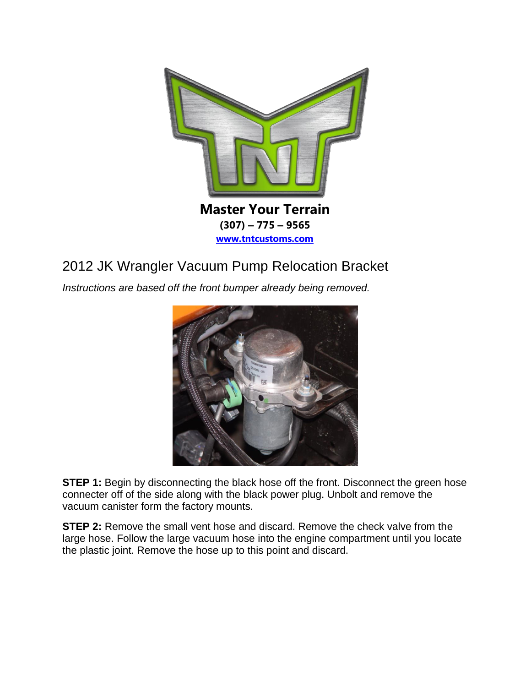

## 2012 JK Wrangler Vacuum Pump Relocation Bracket

*Instructions are based off the front bumper already being removed.*



**STEP 1:** Begin by disconnecting the black hose off the front. Disconnect the green hose connecter off of the side along with the black power plug. Unbolt and remove the vacuum canister form the factory mounts.

**STEP 2:** Remove the small vent hose and discard. Remove the check valve from the large hose. Follow the large vacuum hose into the engine compartment until you locate the plastic joint. Remove the hose up to this point and discard.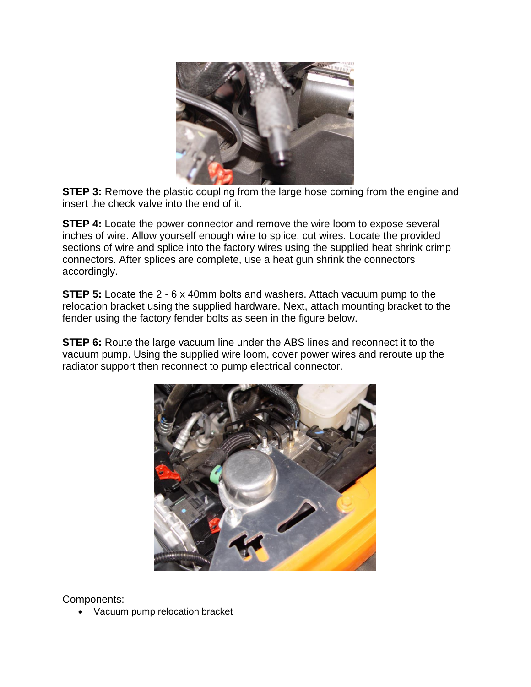

**STEP 3:** Remove the plastic coupling from the large hose coming from the engine and insert the check valve into the end of it.

**STEP 4:** Locate the power connector and remove the wire loom to expose several inches of wire. Allow yourself enough wire to splice, cut wires. Locate the provided sections of wire and splice into the factory wires using the supplied heat shrink crimp connectors. After splices are complete, use a heat gun shrink the connectors accordingly.

**STEP 5:** Locate the 2 - 6 x 40mm bolts and washers. Attach vacuum pump to the relocation bracket using the supplied hardware. Next, attach mounting bracket to the fender using the factory fender bolts as seen in the figure below.

**STEP 6:** Route the large vacuum line under the ABS lines and reconnect it to the vacuum pump. Using the supplied wire loom, cover power wires and reroute up the radiator support then reconnect to pump electrical connector.



Components:

• Vacuum pump relocation bracket